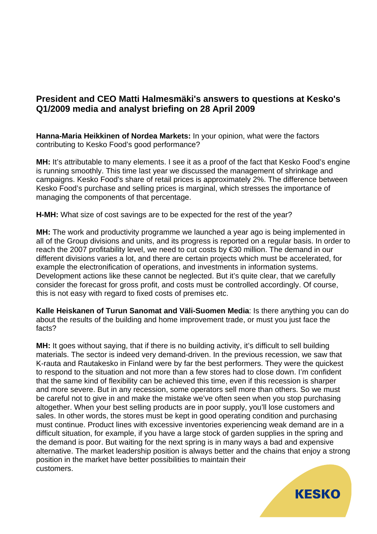## **President and CEO Matti Halmesmäki's answers to questions at Kesko's Q1/2009 media and analyst briefing on 28 April 2009**

**Hanna-Maria Heikkinen of Nordea Markets:** In your opinion, what were the factors contributing to Kesko Food's good performance?

**MH:** It's attributable to many elements. I see it as a proof of the fact that Kesko Food's engine is running smoothly. This time last year we discussed the management of shrinkage and campaigns. Kesko Food's share of retail prices is approximately 2%. The difference between Kesko Food's purchase and selling prices is marginal, which stresses the importance of managing the components of that percentage.

**H-MH:** What size of cost savings are to be expected for the rest of the year?

**MH:** The work and productivity programme we launched a year ago is being implemented in all of the Group divisions and units, and its progress is reported on a regular basis. In order to reach the 2007 profitability level, we need to cut costs by €30 million. The demand in our different divisions varies a lot, and there are certain projects which must be accelerated, for example the electronification of operations, and investments in information systems. Development actions like these cannot be neglected. But it's quite clear, that we carefully consider the forecast for gross profit, and costs must be controlled accordingly. Of course, this is not easy with regard to fixed costs of premises etc.

**Kalle Heiskanen of Turun Sanomat and Väli-Suomen Media**: Is there anything you can do about the results of the building and home improvement trade, or must you just face the facts?

**MH:** It goes without saying, that if there is no building activity, it's difficult to sell building materials. The sector is indeed very demand-driven. In the previous recession, we saw that K-rauta and Rautakesko in Finland were by far the best performers. They were the quickest to respond to the situation and not more than a few stores had to close down. I'm confident that the same kind of flexibility can be achieved this time, even if this recession is sharper and more severe. But in any recession, some operators sell more than others. So we must be careful not to give in and make the mistake we've often seen when you stop purchasing altogether. When your best selling products are in poor supply, you'll lose customers and sales. In other words, the stores must be kept in good operating condition and purchasing must continue. Product lines with excessive inventories experiencing weak demand are in a difficult situation, for example, if you have a large stock of garden supplies in the spring and the demand is poor. But waiting for the next spring is in many ways a bad and expensive alternative. The market leadership position is always better and the chains that enjoy a strong position in the market have better possibilities to maintain their customers.

**KESKO**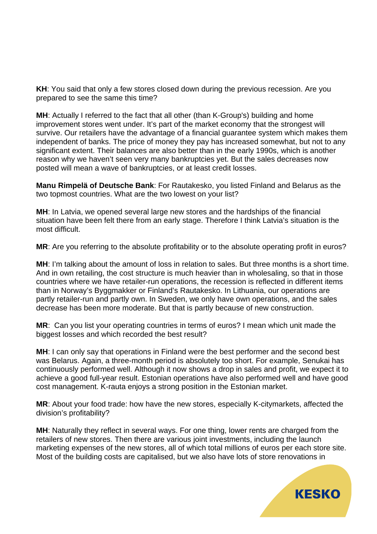**KH**: You said that only a few stores closed down during the previous recession. Are you prepared to see the same this time?

**MH**: Actually I referred to the fact that all other (than K-Group's) building and home improvement stores went under. It's part of the market economy that the strongest will survive. Our retailers have the advantage of a financial guarantee system which makes them independent of banks. The price of money they pay has increased somewhat, but not to any significant extent. Their balances are also better than in the early 1990s, which is another reason why we haven't seen very many bankruptcies yet. But the sales decreases now posted will mean a wave of bankruptcies, or at least credit losses.

**Manu Rimpelä of Deutsche Bank**: For Rautakesko, you listed Finland and Belarus as the two topmost countries. What are the two lowest on your list?

**MH**: In Latvia, we opened several large new stores and the hardships of the financial situation have been felt there from an early stage. Therefore I think Latvia's situation is the most difficult.

**MR**: Are you referring to the absolute profitability or to the absolute operating profit in euros?

**MH**: I'm talking about the amount of loss in relation to sales. But three months is a short time. And in own retailing, the cost structure is much heavier than in wholesaling, so that in those countries where we have retailer-run operations, the recession is reflected in different items than in Norway's Byggmakker or Finland's Rautakesko. In Lithuania, our operations are partly retailer-run and partly own. In Sweden, we only have own operations, and the sales decrease has been more moderate. But that is partly because of new construction.

**MR**: Can you list your operating countries in terms of euros? I mean which unit made the biggest losses and which recorded the best result?

**MH**: I can only say that operations in Finland were the best performer and the second best was Belarus. Again, a three-month period is absolutely too short. For example, Senukai has continuously performed well. Although it now shows a drop in sales and profit, we expect it to achieve a good full-year result. Estonian operations have also performed well and have good cost management. K-rauta enjoys a strong position in the Estonian market.

**MR**: About your food trade: how have the new stores, especially K-citymarkets, affected the division's profitability?

**MH**: Naturally they reflect in several ways. For one thing, lower rents are charged from the retailers of new stores. Then there are various joint investments, including the launch marketing expenses of the new stores, all of which total millions of euros per each store site. Most of the building costs are capitalised, but we also have lots of store renovations in

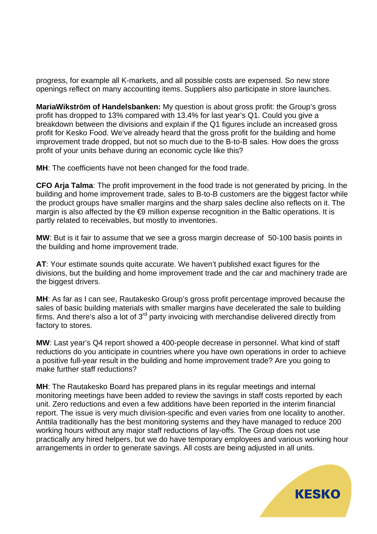progress, for example all K-markets, and all possible costs are expensed. So new store openings reflect on many accounting items. Suppliers also participate in store launches.

**MariaWikström of Handelsbanken:** My question is about gross profit: the Group's gross profit has dropped to 13% compared with 13.4% for last year's Q1. Could you give a breakdown between the divisions and explain if the Q1 figures include an increased gross profit for Kesko Food. We've already heard that the gross profit for the building and home improvement trade dropped, but not so much due to the B-to-B sales. How does the gross profit of your units behave during an economic cycle like this?

**MH**: The coefficients have not been changed for the food trade.

**CFO Arja Talma**: The profit improvement in the food trade is not generated by pricing. In the building and home improvement trade, sales to B-to-B customers are the biggest factor while the product groups have smaller margins and the sharp sales decline also reflects on it. The margin is also affected by the **€9** million expense recognition in the Baltic operations. It is partly related to receivables, but mostly to inventories.

**MW**: But is it fair to assume that we see a gross margin decrease of 50-100 basis points in the building and home improvement trade.

**AT**: Your estimate sounds quite accurate. We haven't published exact figures for the divisions, but the building and home improvement trade and the car and machinery trade are the biggest drivers.

**MH**: As far as I can see, Rautakesko Group's gross profit percentage improved because the sales of basic building materials with smaller margins have decelerated the sale to building firms. And there's also a lot of  $3<sup>rd</sup>$  party invoicing with merchandise delivered directly from factory to stores.

**MW**: Last year's Q4 report showed a 400-people decrease in personnel. What kind of staff reductions do you anticipate in countries where you have own operations in order to achieve a positive full-year result in the building and home improvement trade? Are you going to make further staff reductions?

**MH**: The Rautakesko Board has prepared plans in its regular meetings and internal monitoring meetings have been added to review the savings in staff costs reported by each unit. Zero reductions and even a few additions have been reported in the interim financial report. The issue is very much division-specific and even varies from one locality to another. Anttila traditionally has the best monitoring systems and they have managed to reduce 200 working hours without any major staff reductions of lay-offs. The Group does not use practically any hired helpers, but we do have temporary employees and various working hour arrangements in order to generate savings. All costs are being adjusted in all units.

**KESKO**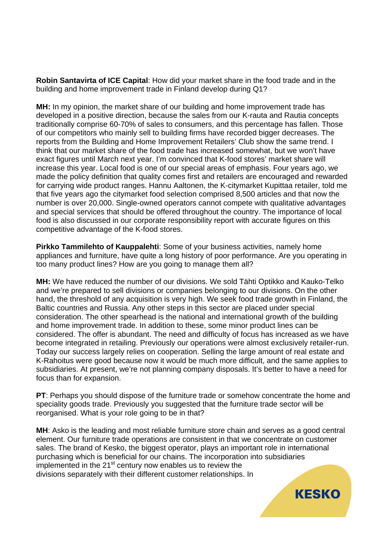**Robin Santavirta of ICE Capital**: How did your market share in the food trade and in the building and home improvement trade in Finland develop during Q1?

**MH:** In my opinion, the market share of our building and home improvement trade has developed in a positive direction, because the sales from our K-rauta and Rautia concepts traditionally comprise 60-70% of sales to consumers, and this percentage has fallen. Those of our competitors who mainly sell to building firms have recorded bigger decreases. The reports from the Building and Home Improvement Retailers' Club show the same trend. I think that our market share of the food trade has increased somewhat, but we won't have exact figures until March next year. I'm convinced that K-food stores' market share will increase this year. Local food is one of our special areas of emphasis. Four years ago, we made the policy definition that quality comes first and retailers are encouraged and rewarded for carrying wide product ranges. Hannu Aaltonen, the K-citymarket Kupittaa retailer, told me that five years ago the citymarket food selection comprised 8,500 articles and that now the number is over 20,000. Single-owned operators cannot compete with qualitative advantages and special services that should be offered throughout the country. The importance of local food is also discussed in our corporate responsibility report with accurate figures on this competitive advantage of the K-food stores.

**Pirkko Tammilehto of Kauppalehti**: Some of your business activities, namely home appliances and furniture, have quite a long history of poor performance. Are you operating in too many product lines? How are you going to manage them all?

**MH:** We have reduced the number of our divisions. We sold Tähti Optikko and Kauko-Telko and we're prepared to sell divisions or companies belonging to our divisions. On the other hand, the threshold of any acquisition is very high. We seek food trade growth in Finland, the Baltic countries and Russia. Any other steps in this sector are placed under special consideration. The other spearhead is the national and international growth of the building and home improvement trade. In addition to these, some minor product lines can be considered. The offer is abundant. The need and difficulty of focus has increased as we have become integrated in retailing. Previously our operations were almost exclusively retailer-run. Today our success largely relies on cooperation. Selling the large amount of real estate and K-Rahoitus were good because now it would be much more difficult, and the same applies to subsidiaries. At present, we're not planning company disposals. It's better to have a need for focus than for expansion.

**PT**: Perhaps you should dispose of the furniture trade or somehow concentrate the home and speciality goods trade. Previously you suggested that the furniture trade sector will be reorganised. What is your role going to be in that?

**MH**: Asko is the leading and most reliable furniture store chain and serves as a good central element. Our furniture trade operations are consistent in that we concentrate on customer sales. The brand of Kesko, the biggest operator, plays an important role in international purchasing which is beneficial for our chains. The incorporation into subsidiaries implemented in the 21<sup>st</sup> century now enables us to review the divisions separately with their different customer relationships. In

**KESKO**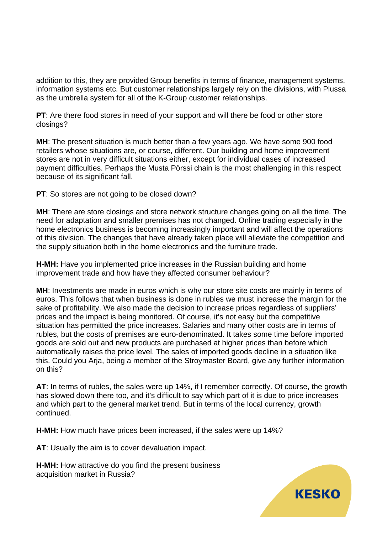addition to this, they are provided Group benefits in terms of finance, management systems, information systems etc. But customer relationships largely rely on the divisions, with Plussa as the umbrella system for all of the K-Group customer relationships.

**PT**: Are there food stores in need of your support and will there be food or other store closings?

**MH**: The present situation is much better than a few years ago. We have some 900 food retailers whose situations are, or course, different. Our building and home improvement stores are not in very difficult situations either, except for individual cases of increased payment difficulties. Perhaps the Musta Pörssi chain is the most challenging in this respect because of its significant fall.

**PT**: So stores are not going to be closed down?

**MH**: There are store closings and store network structure changes going on all the time. The need for adaptation and smaller premises has not changed. Online trading especially in the home electronics business is becoming increasingly important and will affect the operations of this division. The changes that have already taken place will alleviate the competition and the supply situation both in the home electronics and the furniture trade.

**H-MH:** Have you implemented price increases in the Russian building and home improvement trade and how have they affected consumer behaviour?

**MH**: Investments are made in euros which is why our store site costs are mainly in terms of euros. This follows that when business is done in rubles we must increase the margin for the sake of profitability. We also made the decision to increase prices regardless of suppliers' prices and the impact is being monitored. Of course, it's not easy but the competitive situation has permitted the price increases. Salaries and many other costs are in terms of rubles, but the costs of premises are euro-denominated. It takes some time before imported goods are sold out and new products are purchased at higher prices than before which automatically raises the price level. The sales of imported goods decline in a situation like this. Could you Arja, being a member of the Stroymaster Board, give any further information on this?

**AT**: In terms of rubles, the sales were up 14%, if I remember correctly. Of course, the growth has slowed down there too, and it's difficult to say which part of it is due to price increases and which part to the general market trend. But in terms of the local currency, growth continued.

**H-MH:** How much have prices been increased, if the sales were up 14%?

**AT**: Usually the aim is to cover devaluation impact.

**H-MH:** How attractive do you find the present business acquisition market in Russia?